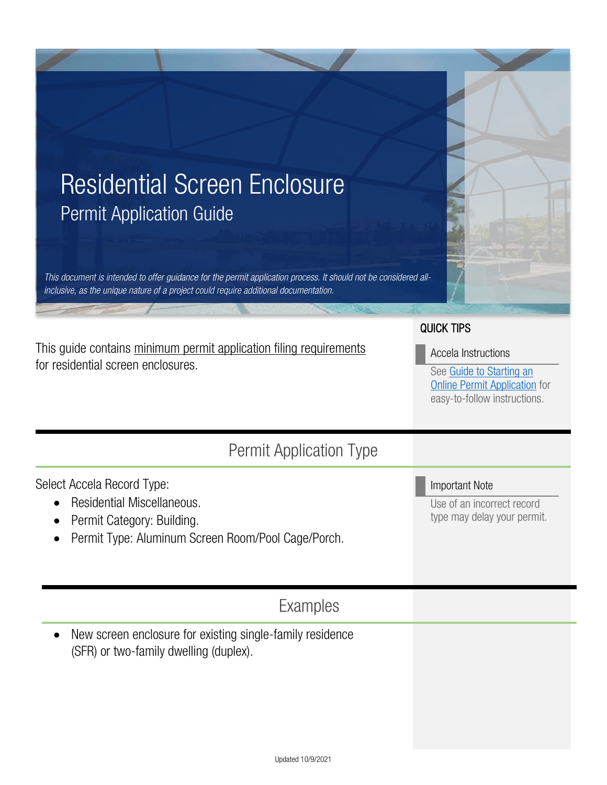

This guide contains minimum permit application filing requirements for residential screen enclosures.

# QUICK TIPS

Accela Instructions

Important Note

Use of an incorrect record type may delay your permit.

See [Guide to Starting an](https://www.tampa.gov/document/how-start-online-permit-application-83531)  **[Online Permit Application](https://www.tampa.gov/document/how-start-online-permit-application-83531)** for easy-to-follow instructions.

# Permit Application Type

Select Accela Record Type:

- Residential Miscellaneous.
- Permit Category: Building.
- Permit Type: Aluminum Screen Room/Pool Cage/Porch.

# Examples

• New screen enclosure for existing single-family residence (SFR) or two-family dwelling (duplex).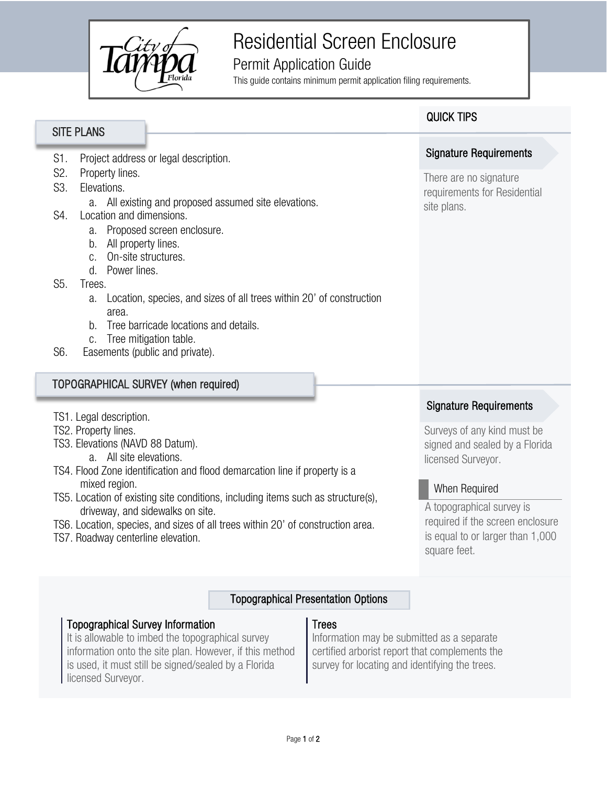

# Residential Screen Enclosure

# Permit Application Guide

This guide contains minimum permit application filing requirements.

# S1. Project address or legal description. a. All existing and proposed assumed site elevations. S4. Location and dimensions. a. Proposed screen enclosure. b. All property lines. c. On-site structures. a. Location, species, and sizes of all trees within 20' of construction There are no signature requirements for Residential site plans. Signature Requirements

- b. Tree barricade locations and details.
- c. Tree mitigation table.
- S6. Easements (public and private).

d. Power lines.

area.

#### TOPOGRAPHICAL SURVEY (when required)

- TS1. Legal description.
- TS2. Property lines.

S2. Property lines. S3. Elevations.

SITE PLANS

S5. Trees.

- TS3. Elevations (NAVD 88 Datum).
	- a. All site elevations.
- TS4. Flood Zone identification and flood demarcation line if property is a mixed region.
- TS5. Location of existing site conditions, including items such as structure(s), driveway, and sidewalks on site.
- TS6. Location, species, and sizes of all trees within 20' of construction area.
- TS7. Roadway centerline elevation.

# Signature Requirements

Surveys of any kind must be signed and sealed by a Florida licensed Surveyor.

# When Required

A topographical survey is required if the screen enclosure is equal to or larger than 1,000 square feet.

# Topographical Presentation Options

# Topographical Survey Information

It is allowable to imbed the topographical survey information onto the site plan. However, if this method is used, it must still be signed/sealed by a Florida licensed Surveyor.

#### Trees

Information may be submitted as a separate certified arborist report that complements the survey for locating and identifying the trees.

# QUICK TIPS